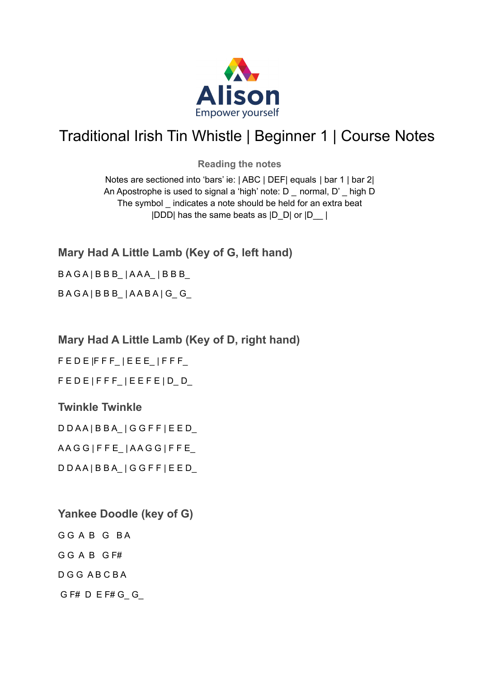

## Traditional Irish Tin Whistle | Beginner 1 | Course Notes

**Reading the notes**

Notes are sectioned into 'bars' ie: | ABC | DEF| equals | bar 1 | bar 2| An Apostrophe is used to signal a 'high' note: D \_ normal, D' \_ high D The symbol \_ indicates a note should be held for an extra beat |DDD| has the same beats as |D\_D| or |D\_\_ |

**Mary Had A Little Lamb (Key of G, left hand)**

## $BAGA$ | $BBB$ \_| $AAA$ \_| $BBB$ \_

 $BAGA$ |  $BBB$ \_|  $AABA$ | G\_G\_

## **Mary Had A Little Lamb (Key of D, right hand)**

 $F E D E | F F F | E E E | F F F$ 

 $F E D E | F F F$  |  $E E F E | D_D$ 

## **Twinkle Twinkle**

D D A A | B B A\_ | G G F F | E E D\_ A A G G | F F E\_ | A A G G | F F E\_

D D A A | B B A\_ | G G F F | E E D\_

- **Yankee Doodle (key of G)** G G A B G BA
- G G A B G F#

D G G A B C B A

G F# D E F# G\_ G\_